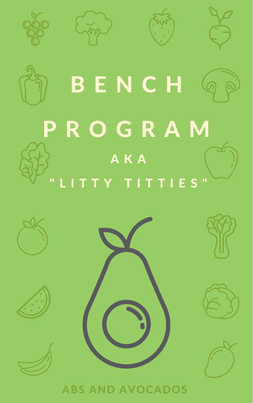







# BENCH G P R O G R A M A K A " L I T T Y T I T T I E S "





### ABS AND AVOCADOS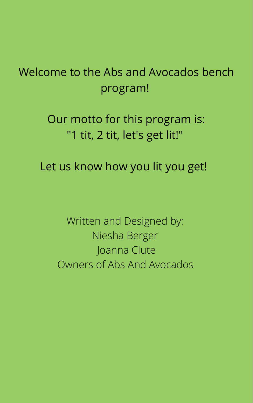Written and Designed by: Niesha Berger Joanna Clute Owners of Abs And Avocados

### Welcome to the Abs and Avocados bench program!

### Our motto for this program is: "1 tit, 2 tit, let's get lit!"

Let us know how you lit you get!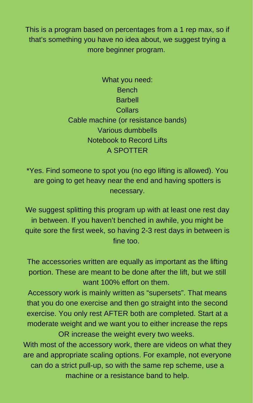in between. If you haven't benched in awhile, you might be quite sore the first week, so having 2-3 rest days in between is fine too.

The accessories written are equally as important as the lifting portion. These are meant to be done after the lift, but we still want 100% effort on them.

Accessory work is mainly written as "supersets". That means that you do one exercise and then go straight into the second exercise. You only rest AFTER both are completed. Start at a moderate weight and we want you to either increase the reps OR increase the weight every two weeks.

How to use this program: \*Yes. Find someone to spot you (no ego lifting is allowed). You are going to get heavy near the end and having spotters is necessary.

We suggest splitting this program up with at least one rest day

With most of the accessory work, there are videos on what they are and appropriate scaling options. For example, not everyone can do a strict pull-up, so with the same rep scheme, use a machine or a resistance band to help.

This is a program based on percentages from a 1 rep max, so if that's something you have no idea about, we suggest trying a more beginner program.

> What you need: Bench Barbell **Collars** Cable machine (or resistance bands) Various dumbbells Notebook to Record Lifts A SPOTTER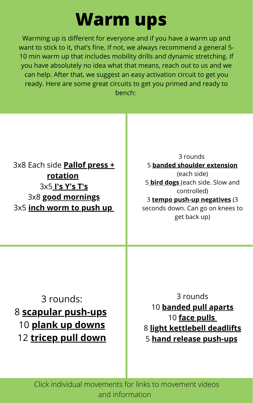3x8 Each side **Pallof press + [rotation](https://theprehabguys.com/master-the-pallof-press-exercises/)** 3x5 **I's [Y's](https://www.thephysicaltherapyadvisor.com/2018/12/19/how-to-properly-perform-is-ts-and-ys-exercises/) T's** 3x8 **good [mornings](https://www.youtube.com/watch?v=YSb5wYMJil4)** 3x5 **inch [worm](https://www.youtube.com/watch?v=Gv0rFtj-XjI) to push u[p](https://www.youtube.com/watch?v=Gv0rFtj-XjI)**

> Click individual movements for links to movement videos and information

# **Warm ups**

Warming up is different for everyone and if you have a warm up and want to stick to it, that's fine. If not, we always recommend a general 5- 10 min warm up that includes mobility drills and dynamic stretching. If you have absolutely no idea what that means, reach out to us and we can help. After that, we suggest an easy activation circuit to get you ready. Here are some great circuits to get you primed and ready to bench:

3 rounds: **scapular [push-ups](https://www.youtube.com/watch?v=fLAf2YG4flw) plank up [downs](https://www.youtube.com/watch?v=2kEnT-CdXyE) [tricep](https://www.youtube.com/watch?v=N-BwJukI2_I) pull down**

3 rounds **[banded](https://www.youtube.com/watch?v=MnDpmNYUjbc) pull aparts face [pulls](https://www.youtube.com/watch?v=CU4Xc2qlLC0) light [kettlebell](https://www.youtube.com/watch?v=Uc5rP5xs7qQ) deadlifts hand release [push-ups](https://www.youtube.com/watch?v=hfaUWLlhvKk)**

3 rounds 5 **banded shoulder [extension](https://www.youtube.com/watch?v=c2h3Xc0wrfI)** (each side) 5 **bird [dogs](https://www.youtube.com/watch?v=wiFNA3sqjCA)** (each side. Slow and controlled) 3 **tempo push-up [negatives](https://www.youtube.com/watch?v=dK0FbJvPCug)** (3 seconds down. Can go on knees to

get back up)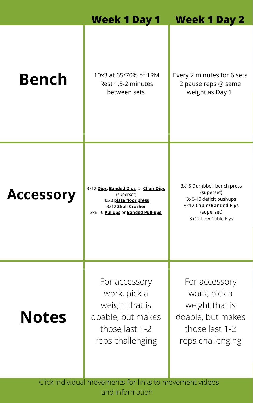10x3 at 65/70% of 1RM Rest 1.5-2 minutes between sets

Click individual movements for links to movement videos and information

**Accessory**

#### **Week 1 Day 1 Week 1 Day 2**

3x12 **[Dips](https://youtu.be/ilj9LHr2x3w)**, **[Banded](https://youtu.be/e4CnIki-Kes) Dips**, or **[Chair](https://youtu.be/bM6dRTUeW_U) Dips** (superset) 3x20 **plate floor [press](https://youtu.be/9ZTBLDR5_VE)** 3x12 **Skull [Crusher](https://youtu.be/UITEbj7jMUs)** 3x6-10 **[Pullups](https://youtu.be/S_pgzDrdgzY)** or **Banded [Pull-ups](https://youtu.be/SRfh23bWoAk)**

# **Bench**

Every 2 minutes for 6 sets 2 pause reps @ same weight as Day 1

### **Notes**

For accessory work, pick a weight that is doable, but makes those last 1-2 reps challenging

3x15 Dumbbell bench press (superset) 3x6-10 deficit pushups 3x12 **[Cable/Banded](https://www.youtube.com/watch?v=yVcEkvgymt8) Flys** (superset)

3x12 Low Cable Flys

For accessory work, pick a weight that is doable, but makes those last 1-2 reps challenging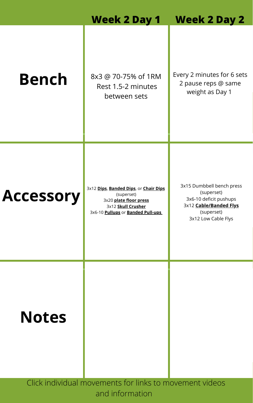ACCESSOMY 3x12 [Dips](https://youtu.be/ilj9LHr2x3w), [Banded](https://youtu.be/e4CnIki-Kes) Dips, or [Chair](https://youtu.be/bM6dRTUeW_U) Dips<br>3x20 plate floor press (superset) 3x20 **plate floor [press](https://youtu.be/9ZTBLDR5_VE)** 3x12 **Skull [Crusher](https://youtu.be/UITEbj7jMUs)** 3x6-10 **[Pullups](https://youtu.be/S_pgzDrdgzY)** or **Banded [Pull-ups](https://youtu.be/SRfh23bWoAk)**

#### **Week 2 Day 1 Week 2 Day 2**

## **Bench**



Every 2 minutes for 6 sets 2 pause reps @ same weight as Day 1

8x3 @ 70-75% of 1RM Rest 1.5-2 minutes between sets

> 3x15 Dumbbell bench press (superset) 3x6-10 deficit pushups 3x12 **[Cable/Banded](https://www.youtube.com/watch?v=yVcEkvgymt8) Flys** (superset)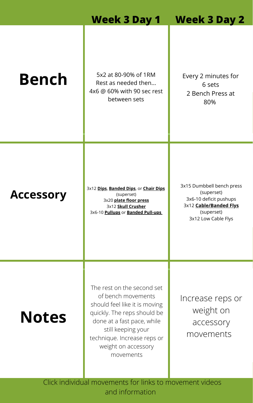Click individual movements for links to movement videos and information

**Accessory**

#### **Week 3 Day 1 Week 3 Day 2**

3x12 **[Dips](https://youtu.be/ilj9LHr2x3w)**, **[Banded](https://youtu.be/e4CnIki-Kes) Dips**, or **[Chair](https://youtu.be/bM6dRTUeW_U) Dips** (superset) 3x20 **plate floor [press](https://youtu.be/9ZTBLDR5_VE)** 3x12 **Skull [Crusher](https://youtu.be/UITEbj7jMUs)** 3x6-10 **[Pullups](https://youtu.be/S_pgzDrdgzY)** or **Banded [Pull-ups](https://youtu.be/SRfh23bWoAk)**

# **Bench**

### **Notes**

5x2 at 80-90% of 1RM Rest as needed then... 4x6 @ 60% with 90 sec rest between sets

The rest on the second set of bench movements should feel like it is moving quickly. The reps should be done at a fast pace, while still keeping your technique. Increase reps or weight on accessory movements

Every 2 minutes for 6 sets 2 Bench Press at 80%

3x15 Dumbbell bench press (superset) 3x6-10 deficit pushups 3x12 **[Cable/Banded](https://www.youtube.com/watch?v=yVcEkvgymt8) Flys** (superset)

3x12 Low Cable Flys

Increase reps or weight on accessory movements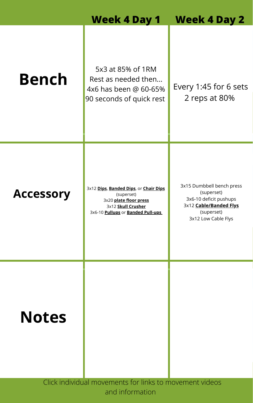**Accessory** 3x12 **[Dips](https://youtu.be/ilj9LHr2x3w)**, **[Banded](https://youtu.be/e4CnIki-Kes) Dips**, or **[Chair](https://youtu.be/bM6dRTUeW_U) Dips** (superset) 3x20 **plate floor [press](https://youtu.be/9ZTBLDR5_VE)** 3x12 **Skull [Crusher](https://youtu.be/UITEbj7jMUs)** 3x6-10 **[Pullups](https://youtu.be/S_pgzDrdgzY)** or **Banded [Pull-ups](https://youtu.be/SRfh23bWoAk)**

#### **Week 4 Day 1 Week 4 Day 2**

## **Bench**

5x3 at 85% of 1RM Rest as needed then... 4x6 has been @ 60-65% 90 seconds of quick rest

Every 1:45 for 6 sets 2 reps at 80%



3x15 Dumbbell bench press (superset) 3x6-10 deficit pushups 3x12 **[Cable/Banded](https://www.youtube.com/watch?v=yVcEkvgymt8) Flys** (superset)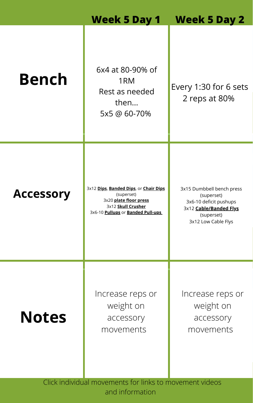**Accessory** 3x12 **[Dips](https://youtu.be/ilj9LHr2x3w)**, **[Banded](https://youtu.be/e4CnIki-Kes) Dips**, or **[Chair](https://youtu.be/bM6dRTUeW_U) Dips** (superset) 3x20 **plate floor [press](https://youtu.be/9ZTBLDR5_VE)** 3x12 **Skull [Crusher](https://youtu.be/UITEbj7jMUs)** 3x6-10 **[Pullups](https://youtu.be/S_pgzDrdgzY)** or **Banded [Pull-ups](https://youtu.be/SRfh23bWoAk)**

#### **Week 5 Day 1 Week 5 Day 2**

## **Bench**

### **Notes**

6x4 at 80-90% of 1RM Rest as needed then... 5x5 @ 60-70%

### Every 1:30 for 6 sets 2 reps at 80%

3x15 Dumbbell bench press (superset) 3x6-10 deficit pushups 3x12 **[Cable/Banded](https://www.youtube.com/watch?v=yVcEkvgymt8) Flys**

(superset) 3x12 Low Cable Flys

Increase reps or weight on accessory movements

Increase reps or weight on accessory movements

Click individual movements for links to movement videos and information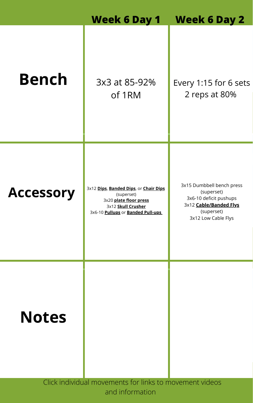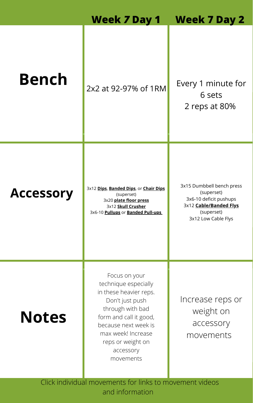

### **Notes**

#### 3x12 Low Cable Flys

Focus on your technique especially in these heavier reps. Don't just push through with bad form and call it good, because next week is max week! Increase reps or weight on accessory movements

Increase reps or weight on accessory movements

Click individual movements for links to movement videos and information